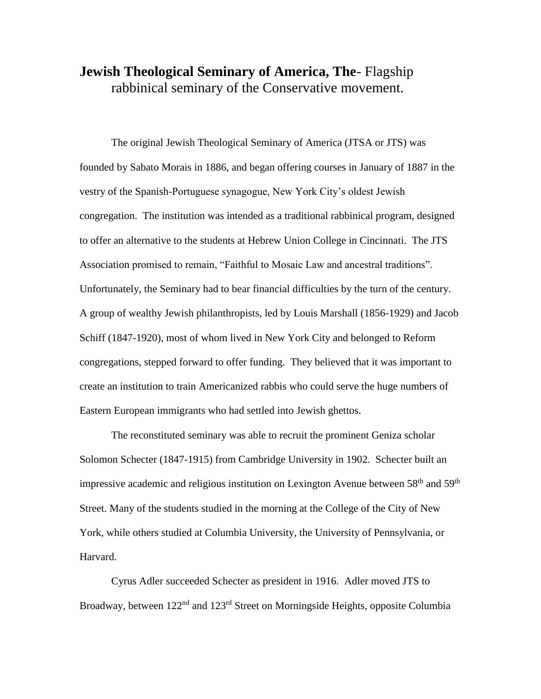## **Jewish Theological Seminary of America, The**- Flagship rabbinical seminary of the Conservative movement.

The original Jewish Theological Seminary of America (JTSA or JTS) was founded by Sabato Morais in 1886, and began offering courses in January of 1887 in the vestry of the Spanish-Portuguese synagogue, New York City's oldest Jewish congregation. The institution was intended as a traditional rabbinical program, designed to offer an alternative to the students at Hebrew Union College in Cincinnati. The JTS Association promised to remain, "Faithful to Mosaic Law and ancestral traditions". Unfortunately, the Seminary had to bear financial difficulties by the turn of the century. A group of wealthy Jewish philanthropists, led by Louis Marshall (1856-1929) and Jacob Schiff (1847-1920), most of whom lived in New York City and belonged to Reform congregations, stepped forward to offer funding. They believed that it was important to create an institution to train Americanized rabbis who could serve the huge numbers of Eastern European immigrants who had settled into Jewish ghettos.

The reconstituted seminary was able to recruit the prominent Geniza scholar Solomon Schecter (1847-1915) from Cambridge University in 1902. Schecter built an impressive academic and religious institution on Lexington Avenue between  $58<sup>th</sup>$  and  $59<sup>th</sup>$ Street. Many of the students studied in the morning at the College of the City of New York, while others studied at Columbia University, the University of Pennsylvania, or Harvard.

Cyrus Adler succeeded Schecter as president in 1916. Adler moved JTS to Broadway, between 122<sup>nd</sup> and 123<sup>rd</sup> Street on Morningside Heights, opposite Columbia